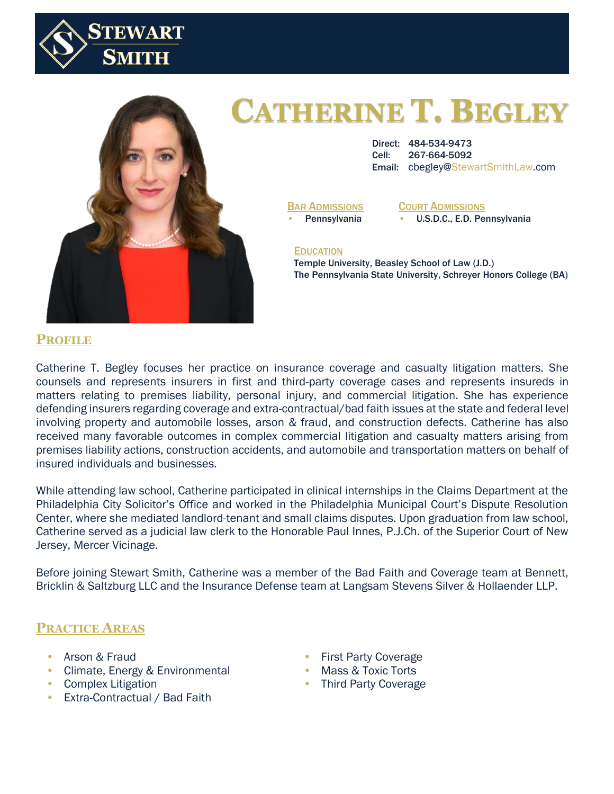



# **CATHERINE T. BEGLEY**

Direct: 484-534-9473 Cell: 267-664-5092 Email: cbegley@StewartSmithLaw.com

BAR ADMISSIONS **Pennsylvania**  COURT ADMISSIONS • U.S.D.C., E.D. Pennsylvania

#### **EDUCATION**

<u>LDUCATION</u><br>Temple University, Beasley School of Law (J.D.) The Pennsylvania State University, Schreyer Honors College (BA) Pennsylvania New York U.S.D.C., D. New

### **PROFILE**

Catherine T. Begley focuses her practice on insurance coverage and casualty litigation matters. She counsels and represents insurers in first and third-party coverage cases and represents insureds in matters relating to premises liability, personal injury, and commercial litigation. She has experience defending insurers regarding coverage and extra-contractual/bad faith issues at the state and federal level involving property and automobile losses, arson & fraud, and construction defects. Catherine has also received many favorable outcomes in complex commercial litigation and casualty matters arising from premises liability actions, construction accidents, and automobile and transportation matters on behalf of insured individuals and businesses.

While attending law school, Catherine participated in clinical internships in the Claims Department at the Philadelphia City Solicitor's Office and worked in the Philadelphia Municipal Court's Dispute Resolution Center, where she mediated landlord-tenant and small claims disputes. Upon graduation from law school, Catherine served as a judicial law clerk to the Honorable Paul Innes, P.J.Ch. of the Superior Court of New Jersey, Mercer Vicinage.

Before joining Stewart Smith, Catherine was a member of the Bad Faith and Coverage team at Bennett, Bricklin & Saltzburg LLC and the Insurance Defense team at Langsam Stevens Silver & Hollaender LLP.

#### **PRACTICE AREAS**

- Arson & Fraud
- Climate, Energy & Environmental
- Complex Litigation
- Extra-Contractual / Bad Faith
- First Party Coverage
- Mass & Toxic Torts
- Third Party Coverage